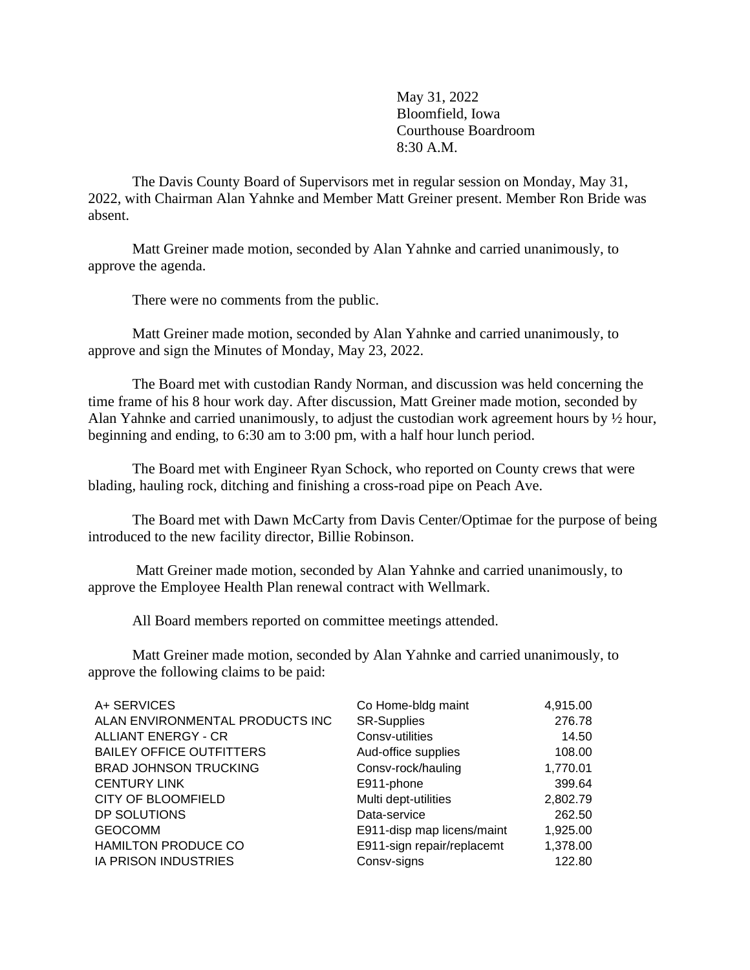May 31, 2022 Bloomfield, Iowa Courthouse Boardroom 8:30 A.M.

The Davis County Board of Supervisors met in regular session on Monday, May 31, 2022, with Chairman Alan Yahnke and Member Matt Greiner present. Member Ron Bride was absent.

Matt Greiner made motion, seconded by Alan Yahnke and carried unanimously, to approve the agenda.

There were no comments from the public.

Matt Greiner made motion, seconded by Alan Yahnke and carried unanimously, to approve and sign the Minutes of Monday, May 23, 2022.

The Board met with custodian Randy Norman, and discussion was held concerning the time frame of his 8 hour work day. After discussion, Matt Greiner made motion, seconded by Alan Yahnke and carried unanimously, to adjust the custodian work agreement hours by ½ hour, beginning and ending, to 6:30 am to 3:00 pm, with a half hour lunch period.

The Board met with Engineer Ryan Schock, who reported on County crews that were blading, hauling rock, ditching and finishing a cross-road pipe on Peach Ave.

The Board met with Dawn McCarty from Davis Center/Optimae for the purpose of being introduced to the new facility director, Billie Robinson.

Matt Greiner made motion, seconded by Alan Yahnke and carried unanimously, to approve the Employee Health Plan renewal contract with Wellmark.

All Board members reported on committee meetings attended.

Matt Greiner made motion, seconded by Alan Yahnke and carried unanimously, to approve the following claims to be paid:

| A+ SERVICES                     | Co Home-bldg maint         | 4,915.00 |
|---------------------------------|----------------------------|----------|
| ALAN ENVIRONMENTAL PRODUCTS INC | <b>SR-Supplies</b>         | 276.78   |
| <b>ALLIANT ENERGY - CR</b>      | Consv-utilities            | 14.50    |
| <b>BAILEY OFFICE OUTFITTERS</b> | Aud-office supplies        | 108.00   |
| <b>BRAD JOHNSON TRUCKING</b>    | Consv-rock/hauling         | 1,770.01 |
| <b>CENTURY LINK</b>             | E911-phone                 | 399.64   |
| <b>CITY OF BLOOMFIELD</b>       | Multi dept-utilities       | 2,802.79 |
| DP SOLUTIONS                    | Data-service               | 262.50   |
| <b>GEOCOMM</b>                  | E911-disp map licens/maint | 1,925.00 |
| <b>HAMILTON PRODUCE CO</b>      | E911-sign repair/replacemt | 1,378.00 |
| <b>IA PRISON INDUSTRIES</b>     | Consv-signs                | 122.80   |